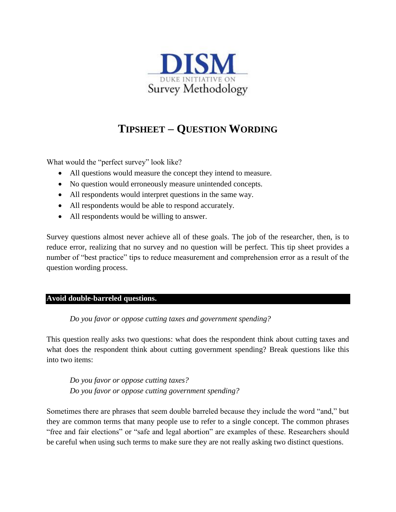

# **TIPSHEET – QUESTION WORDING**

What would the "perfect survey" look like?

- All questions would measure the concept they intend to measure.
- No question would erroneously measure unintended concepts.
- All respondents would interpret questions in the same way.
- All respondents would be able to respond accurately.
- All respondents would be willing to answer.

Survey questions almost never achieve all of these goals. The job of the researcher, then, is to reduce error, realizing that no survey and no question will be perfect. This tip sheet provides a number of "best practice" tips to reduce measurement and comprehension error as a result of the question wording process.

## **Avoid double-barreled questions.**

*Do you favor or oppose cutting taxes and government spending?*

This question really asks two questions: what does the respondent think about cutting taxes and what does the respondent think about cutting government spending? Break questions like this into two items:

*Do you favor or oppose cutting taxes? Do you favor or oppose cutting government spending?*

Sometimes there are phrases that seem double barreled because they include the word "and," but they are common terms that many people use to refer to a single concept. The common phrases "free and fair elections" or "safe and legal abortion" are examples of these. Researchers should be careful when using such terms to make sure they are not really asking two distinct questions.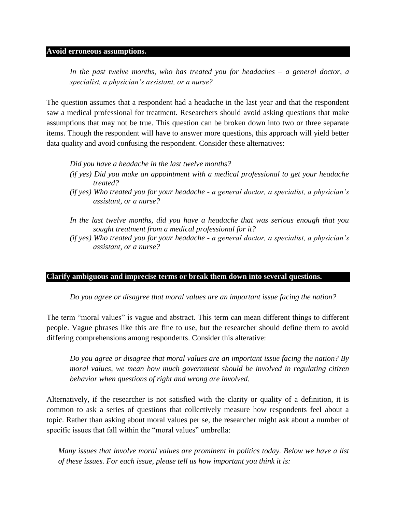#### **Avoid erroneous assumptions.**

*In the past twelve months, who has treated you for headaches – a general doctor, a specialist, a physician's assistant, or a nurse?*

The question assumes that a respondent had a headache in the last year and that the respondent saw a medical professional for treatment. Researchers should avoid asking questions that make assumptions that may not be true. This question can be broken down into two or three separate items. Though the respondent will have to answer more questions, this approach will yield better data quality and avoid confusing the respondent. Consider these alternatives:

*Did you have a headache in the last twelve months?*

- *(if yes) Did you make an appointment with a medical professional to get your headache treated?*
- *(if yes) Who treated you for your headache - a general doctor, a specialist, a physician's assistant, or a nurse?*
- *In the last twelve months, did you have a headache that was serious enough that you sought treatment from a medical professional for it?*
- *(if yes) Who treated you for your headache - a general doctor, a specialist, a physician's assistant, or a nurse?*

#### **Clarify ambiguous and imprecise terms or break them down into several questions.**

*Do you agree or disagree that moral values are an important issue facing the nation?*

The term "moral values" is vague and abstract. This term can mean different things to different people. Vague phrases like this are fine to use, but the researcher should define them to avoid differing comprehensions among respondents. Consider this alterative:

*Do you agree or disagree that moral values are an important issue facing the nation? By moral values, we mean how much government should be involved in regulating citizen behavior when questions of right and wrong are involved.*

Alternatively, if the researcher is not satisfied with the clarity or quality of a definition, it is common to ask a series of questions that collectively measure how respondents feel about a topic. Rather than asking about moral values per se, the researcher might ask about a number of specific issues that fall within the "moral values" umbrella:

*Many issues that involve moral values are prominent in politics today. Below we have a list of these issues. For each issue, please tell us how important you think it is:*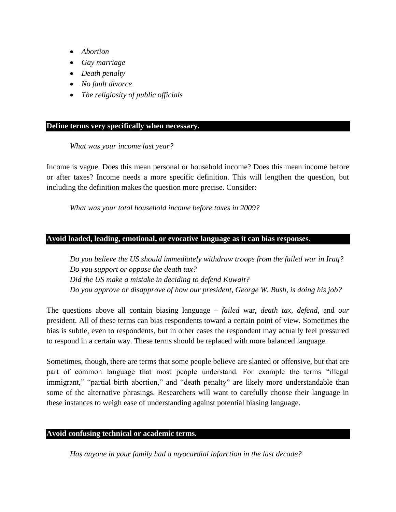- *Abortion*
- *Gay marriage*
- *Death penalty*
- *No fault divorce*
- *The religiosity of public officials*

#### **Define terms very specifically when necessary.**

#### *What was your income last year?*

Income is vague. Does this mean personal or household income? Does this mean income before or after taxes? Income needs a more specific definition. This will lengthen the question, but including the definition makes the question more precise. Consider:

*What was your total household income before taxes in 2009?*

#### **Avoid loaded, leading, emotional, or evocative language as it can bias responses.**

*Do you believe the US should immediately withdraw troops from the failed war in Iraq? Do you support or oppose the death tax? Did the US make a mistake in deciding to defend Kuwait? Do you approve or disapprove of how our president, George W. Bush, is doing his job?*

The questions above all contain biasing language – *failed* war, *death tax*, *defend*, and *our* president. All of these terms can bias respondents toward a certain point of view. Sometimes the bias is subtle, even to respondents, but in other cases the respondent may actually feel pressured to respond in a certain way. These terms should be replaced with more balanced language.

Sometimes, though, there are terms that some people believe are slanted or offensive, but that are part of common language that most people understand. For example the terms "illegal immigrant," "partial birth abortion," and "death penalty" are likely more understandable than some of the alternative phrasings. Researchers will want to carefully choose their language in these instances to weigh ease of understanding against potential biasing language.

## **Avoid confusing technical or academic terms.**

*Has anyone in your family had a myocardial infarction in the last decade?*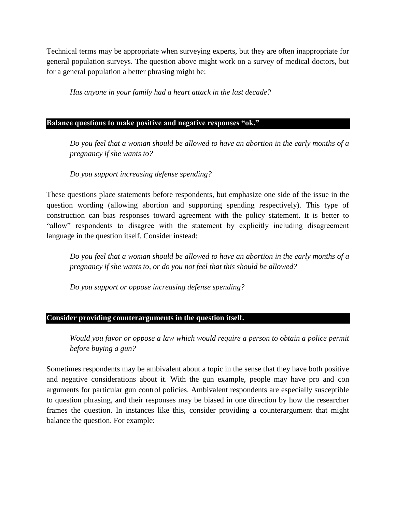Technical terms may be appropriate when surveying experts, but they are often inappropriate for general population surveys. The question above might work on a survey of medical doctors, but for a general population a better phrasing might be:

*Has anyone in your family had a heart attack in the last decade?*

## **Balance questions to make positive and negative responses "ok."**

*Do you feel that a woman should be allowed to have an abortion in the early months of a pregnancy if she wants to?*

*Do you support increasing defense spending?*

These questions place statements before respondents, but emphasize one side of the issue in the question wording (allowing abortion and supporting spending respectively). This type of construction can bias responses toward agreement with the policy statement. It is better to "allow" respondents to disagree with the statement by explicitly including disagreement language in the question itself. Consider instead:

*Do you feel that a woman should be allowed to have an abortion in the early months of a pregnancy if she wants to, or do you not feel that this should be allowed?*

*Do you support or oppose increasing defense spending?*

## **Consider providing counterarguments in the question itself.**

*Would you favor or oppose a law which would require a person to obtain a police permit before buying a gun?*

Sometimes respondents may be ambivalent about a topic in the sense that they have both positive and negative considerations about it. With the gun example, people may have pro and con arguments for particular gun control policies. Ambivalent respondents are especially susceptible to question phrasing, and their responses may be biased in one direction by how the researcher frames the question. In instances like this, consider providing a counterargument that might balance the question. For example: